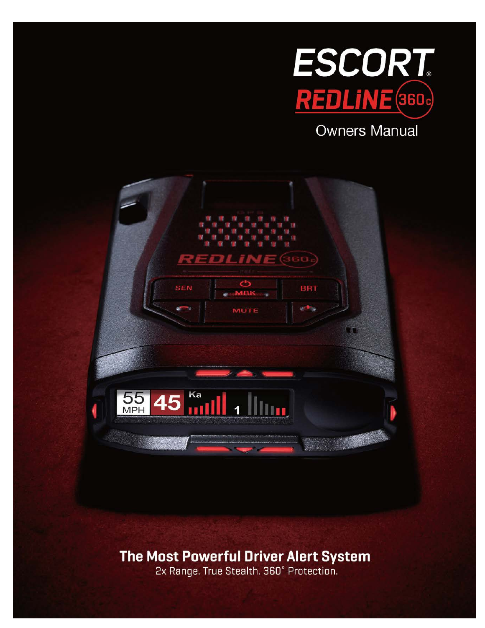

**Owners Manual** 



### **The Most Powerful Driver Alert System**

2x Range. True Stealth. 360° Protection.

Version A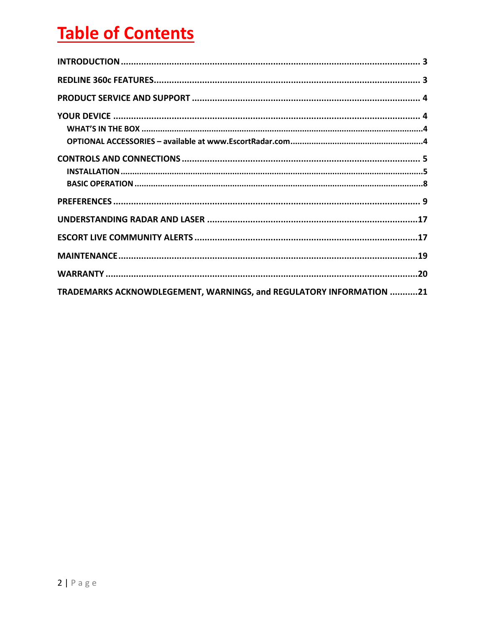# **Table of Contents**

| TRADEMARKS ACKNOWDLEGEMENT, WARNINGS, and REGULATORY INFORMATION 21 |  |
|---------------------------------------------------------------------|--|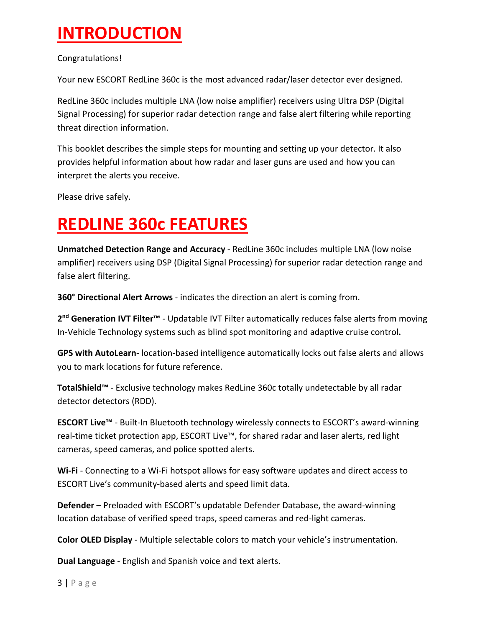### **INTRODUCTION**

Congratulations!

Your new ESCORT RedLine 360c is the most advanced radar/laser detector ever designed.

RedLine 360c includes multiple LNA (low noise amplifier) receivers using Ultra DSP (Digital Signal Processing) for superior radar detection range and false alert filtering while reporting threat direction information.

This booklet describes the simple steps for mounting and setting up your detector. It also provides helpful information about how radar and laser guns are used and how you can interpret the alerts you receive.

Please drive safely.

### **REDLINE 360c FEATURES**

**Unmatched Detection Range and Accuracy** - RedLine 360c includes multiple LNA (low noise amplifier) receivers using DSP (Digital Signal Processing) for superior radar detection range and false alert filtering.

**360° Directional Alert Arrows** - indicates the direction an alert is coming from.

**2nd Generation IVT Filter™** - Updatable IVT Filter automatically reduces false alerts from moving In-Vehicle Technology systems such as blind spot monitoring and adaptive cruise control**.**

**GPS with AutoLearn**- location-based intelligence automatically locks out false alerts and allows you to mark locations for future reference.

**TotalShield™** - Exclusive technology makes RedLine 360c totally undetectable by all radar detector detectors (RDD).

**ESCORT Live™** - Built-In Bluetooth technology wirelessly connects to ESCORT's award-winning real-time ticket protection app, ESCORT Live™, for shared radar and laser alerts, red light cameras, speed cameras, and police spotted alerts.

**Wi-Fi** - Connecting to a Wi-Fi hotspot allows for easy software updates and direct access to ESCORT Live's community-based alerts and speed limit data.

**Defender** – Preloaded with ESCORT's updatable Defender Database, the award-winning location database of verified speed traps, speed cameras and red-light cameras.

**Color OLED Display** - Multiple selectable colors to match your vehicle's instrumentation.

**Dual Language** - English and Spanish voice and text alerts.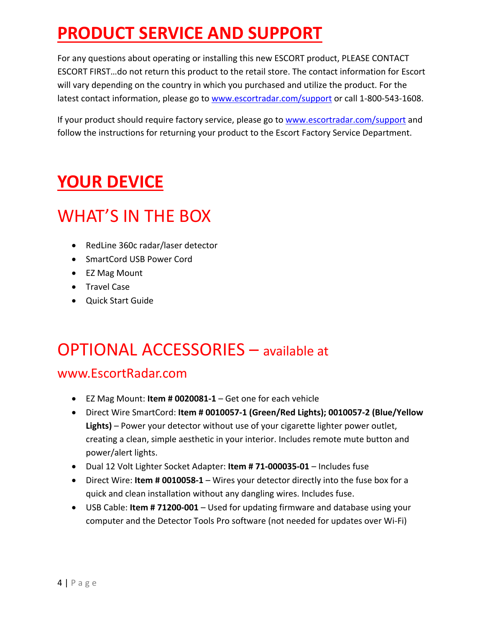# **PRODUCT SERVICE AND SUPPORT**

For any questions about operating or installing this new ESCORT product, PLEASE CONTACT ESCORT FIRST…do not return this product to the retail store. The contact information for Escort will vary depending on the country in which you purchased and utilize the product. For the latest contact information, please go to www.escortradar.com/support or call 1-800-543-1608.

If your product should require factory service, please go to www.escortradar.com/support and follow the instructions for returning your product to the Escort Factory Service Department.

### **YOUR DEVICE**

### WHAT'S IN THE BOX

- RedLine 360c radar/laser detector
- SmartCord USB Power Cord
- EZ Mag Mount
- Travel Case
- Quick Start Guide

### OPTIONAL ACCESSORIES – available at

### www.EscortRadar.com

- EZ Mag Mount: **Item # 0020081-1** Get one for each vehicle
- Direct Wire SmartCord: **Item # 0010057-1 (Green/Red Lights); 0010057-2 (Blue/Yellow Lights)** – Power your detector without use of your cigarette lighter power outlet, creating a clean, simple aesthetic in your interior. Includes remote mute button and power/alert lights.
- Dual 12 Volt Lighter Socket Adapter: **Item # 71-000035-01** Includes fuse
- Direct Wire: **Item # 0010058-1** Wires your detector directly into the fuse box for a quick and clean installation without any dangling wires. Includes fuse.
- USB Cable: **Item # 71200-001** Used for updating firmware and database using your computer and the Detector Tools Pro software (not needed for updates over Wi-Fi)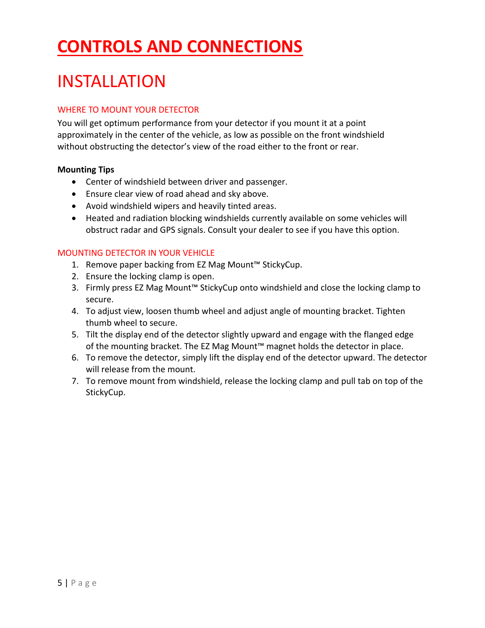# **CONTROLS AND CONNECTIONS**

# INSTALLATION

#### WHERE TO MOUNT YOUR DETECTOR

You will get optimum performance from your detector if you mount it at a point approximately in the center of the vehicle, as low as possible on the front windshield without obstructing the detector's view of the road either to the front or rear.

#### **Mounting Tips**

- Center of windshield between driver and passenger.
- Ensure clear view of road ahead and sky above.
- Avoid windshield wipers and heavily tinted areas.
- Heated and radiation blocking windshields currently available on some vehicles will obstruct radar and GPS signals. Consult your dealer to see if you have this option.

#### MOUNTING DETECTOR IN YOUR VEHICLE

- 1. Remove paper backing from EZ Mag Mount™ StickyCup.
- 2. Ensure the locking clamp is open.
- 3. Firmly press EZ Mag Mount™ StickyCup onto windshield and close the locking clamp to secure.
- 4. To adjust view, loosen thumb wheel and adjust angle of mounting bracket. Tighten thumb wheel to secure.
- 5. Tilt the display end of the detector slightly upward and engage with the flanged edge of the mounting bracket. The EZ Mag Mount™ magnet holds the detector in place.
- 6. To remove the detector, simply lift the display end of the detector upward. The detector will release from the mount.
- 7. To remove mount from windshield, release the locking clamp and pull tab on top of the StickyCup.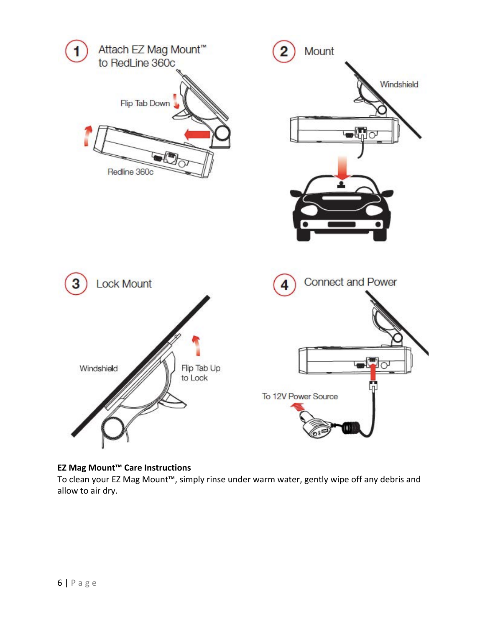

#### **EZ Mag Mount™ Care Instructions**

To clean your EZ Mag Mount™, simply rinse under warm water, gently wipe off any debris and allow to air dry.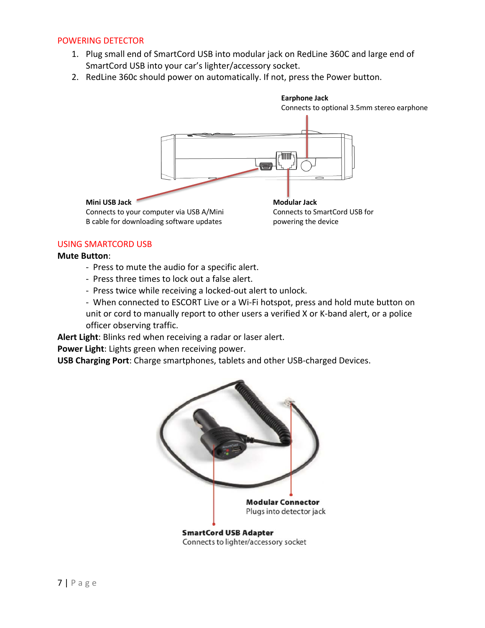#### POWERING DETECTOR

- 1. Plug small end of SmartCord USB into modular jack on RedLine 360C and large end of SmartCord USB into your car's lighter/accessory socket.
- 2. RedLine 360c should power on automatically. If not, press the Power button.



#### USING SMARTCORD USB

#### **Mute Button**:

- Press to mute the audio for a specific alert.
- Press three times to lock out a false alert.
- Press twice while receiving a locked-out alert to unlock.
- When connected to ESCORT Live or a Wi-Fi hotspot, press and hold mute button on unit or cord to manually report to other users a verified X or K-band alert, or a police officer observing traffic.

**Alert Light**: Blinks red when receiving a radar or laser alert.

**Power Light**: Lights green when receiving power.

**USB Charging Port**: Charge smartphones, tablets and other USB-charged Devices.

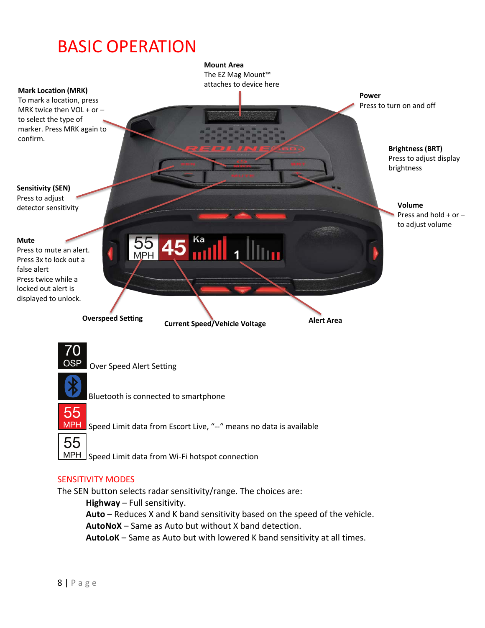### BASIC OPERATION



#### SENSITIVITY MODES

The SEN button selects radar sensitivity/range. The choices are:

**Highway** – Full sensitivity. **Auto** – Reduces X and K band sensitivity based on the speed of the vehicle. **AutoNoX** – Same as Auto but without X band detection.

**AutoLoK** – Same as Auto but with lowered K band sensitivity at all times.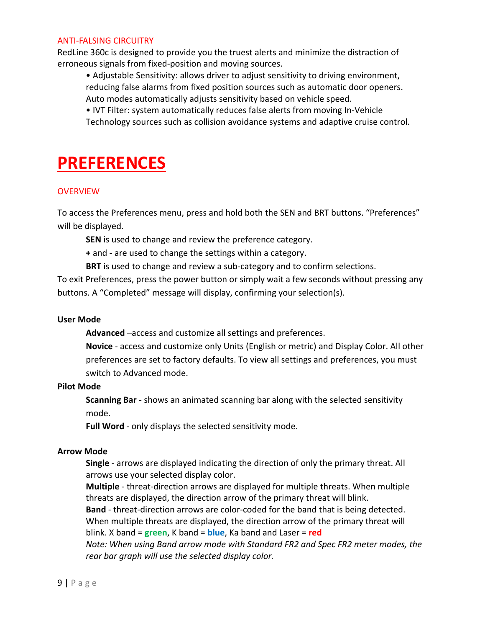#### ANTI-FALSING CIRCUITRY

RedLine 360c is designed to provide you the truest alerts and minimize the distraction of erroneous signals from fixed-position and moving sources.

• Adjustable Sensitivity: allows driver to adjust sensitivity to driving environment, reducing false alarms from fixed position sources such as automatic door openers. Auto modes automatically adjusts sensitivity based on vehicle speed.

• IVT Filter: system automatically reduces false alerts from moving In-Vehicle Technology sources such as collision avoidance systems and adaptive cruise control.

### **PREFERENCES**

#### **OVERVIEW**

To access the Preferences menu, press and hold both the SEN and BRT buttons. "Preferences" will be displayed.

**SEN** is used to change and review the preference category.

**+** and **-** are used to change the settings within a category.

**BRT** is used to change and review a sub-category and to confirm selections.

To exit Preferences, press the power button or simply wait a few seconds without pressing any buttons. A "Completed" message will display, confirming your selection(s).

#### **User Mode**

**Advanced** –access and customize all settings and preferences.

**Novice** - access and customize only Units (English or metric) and Display Color. All other preferences are set to factory defaults. To view all settings and preferences, you must switch to Advanced mode.

#### **Pilot Mode**

**Scanning Bar** - shows an animated scanning bar along with the selected sensitivity mode.

**Full Word** - only displays the selected sensitivity mode.

#### **Arrow Mode**

**Single** - arrows are displayed indicating the direction of only the primary threat. All arrows use your selected display color.

**Multiple** - threat-direction arrows are displayed for multiple threats. When multiple threats are displayed, the direction arrow of the primary threat will blink.

**Band** - threat-direction arrows are color-coded for the band that is being detected. When multiple threats are displayed, the direction arrow of the primary threat will blink. X band = **green**, K band = **blue**, Ka band and Laser = **red**

*Note: When using Band arrow mode with Standard FR2 and Spec FR2 meter modes, the rear bar graph will use the selected display color.*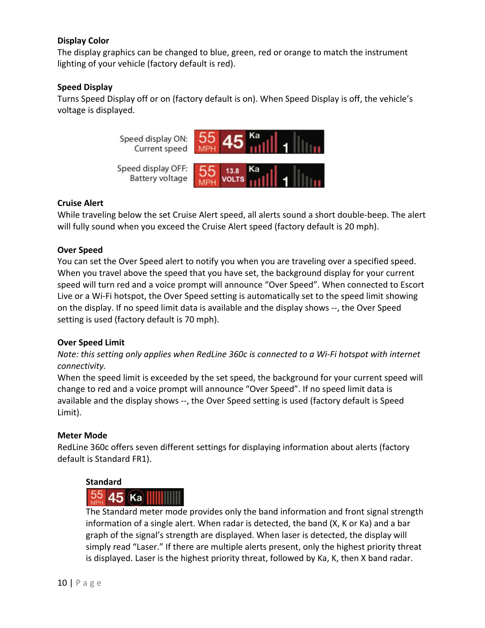#### **Display Color**

The display graphics can be changed to blue, green, red or orange to match the instrument lighting of your vehicle (factory default is red).

#### **Speed Display**

Turns Speed Display off or on (factory default is on). When Speed Display is off, the vehicle's voltage is displayed.



#### **Cruise Alert**

While traveling below the set Cruise Alert speed, all alerts sound a short double-beep. The alert will fully sound when you exceed the Cruise Alert speed (factory default is 20 mph).

#### **Over Speed**

You can set the Over Speed alert to notify you when you are traveling over a specified speed. When you travel above the speed that you have set, the background display for your current speed will turn red and a voice prompt will announce "Over Speed". When connected to Escort Live or a Wi-Fi hotspot, the Over Speed setting is automatically set to the speed limit showing on the display. If no speed limit data is available and the display shows --, the Over Speed setting is used (factory default is 70 mph).

#### **Over Speed Limit**

*Note: this setting only applies when RedLine 360c is connected to a Wi-Fi hotspot with internet connectivity.*

When the speed limit is exceeded by the set speed, the background for your current speed will change to red and a voice prompt will announce "Over Speed". If no speed limit data is available and the display shows --, the Over Speed setting is used (factory default is Speed Limit).

#### **Meter Mode**

RedLine 360c offers seven different settings for displaying information about alerts (factory default is Standard FR1).

#### **Standard**

### $\frac{55}{45}$  45 Ka

The Standard meter mode provides only the band information and front signal strength information of a single alert. When radar is detected, the band (X, K or Ka) and a bar graph of the signal's strength are displayed. When laser is detected, the display will simply read "Laser." If there are multiple alerts present, only the highest priority threat is displayed. Laser is the highest priority threat, followed by Ka, K, then X band radar.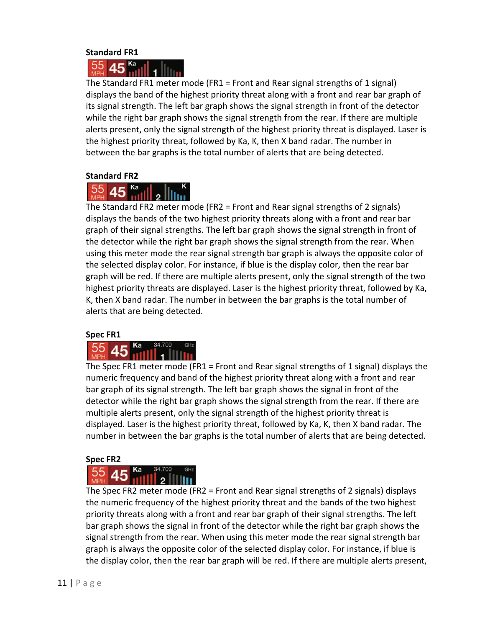#### **Standard FR1**

#### Ka 45

The Standard FR1 meter mode (FR1 = Front and Rear signal strengths of 1 signal) displays the band of the highest priority threat along with a front and rear bar graph of its signal strength. The left bar graph shows the signal strength in front of the detector while the right bar graph shows the signal strength from the rear. If there are multiple alerts present, only the signal strength of the highest priority threat is displayed. Laser is the highest priority threat, followed by Ka, K, then X band radar. The number in between the bar graphs is the total number of alerts that are being detected.

#### **Standard FR2**



The Standard FR2 meter mode (FR2 = Front and Rear signal strengths of 2 signals) displays the bands of the two highest priority threats along with a front and rear bar graph of their signal strengths. The left bar graph shows the signal strength in front of the detector while the right bar graph shows the signal strength from the rear. When using this meter mode the rear signal strength bar graph is always the opposite color of the selected display color. For instance, if blue is the display color, then the rear bar graph will be red. If there are multiple alerts present, only the signal strength of the two highest priority threats are displayed. Laser is the highest priority threat, followed by Ka, K, then X band radar. The number in between the bar graphs is the total number of alerts that are being detected.

#### **Spec FR1**

#### 55 45

The Spec FR1 meter mode (FR1 = Front and Rear signal strengths of 1 signal) displays the numeric frequency and band of the highest priority threat along with a front and rear bar graph of its signal strength. The left bar graph shows the signal in front of the detector while the right bar graph shows the signal strength from the rear. If there are multiple alerts present, only the signal strength of the highest priority threat is displayed. Laser is the highest priority threat, followed by Ka, K, then X band radar. The number in between the bar graphs is the total number of alerts that are being detected.

#### **Spec FR2**



The Spec FR2 meter mode (FR2 = Front and Rear signal strengths of 2 signals) displays the numeric frequency of the highest priority threat and the bands of the two highest priority threats along with a front and rear bar graph of their signal strengths. The left bar graph shows the signal in front of the detector while the right bar graph shows the signal strength from the rear. When using this meter mode the rear signal strength bar graph is always the opposite color of the selected display color. For instance, if blue is the display color, then the rear bar graph will be red. If there are multiple alerts present,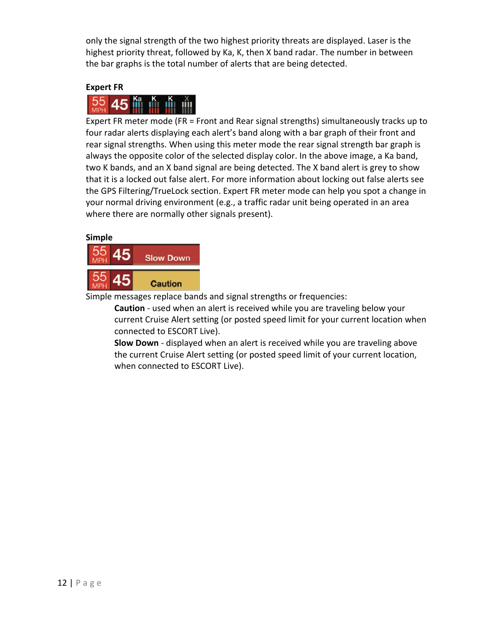only the signal strength of the two highest priority threats are displayed. Laser is the highest priority threat, followed by Ka, K, then X band radar. The number in between the bar graphs is the total number of alerts that are being detected.

#### **Expert FR**

Expert FR meter mode (FR = Front and Rear signal strengths) simultaneously tracks up to four radar alerts displaying each alert's band along with a bar graph of their front and rear signal strengths. When using this meter mode the rear signal strength bar graph is always the opposite color of the selected display color. In the above image, a Ka band, two K bands, and an X band signal are being detected. The X band alert is grey to show that it is a locked out false alert. For more information about locking out false alerts see the GPS Filtering/TrueLock section. Expert FR meter mode can help you spot a change in your normal driving environment (e.g., a traffic radar unit being operated in an area where there are normally other signals present).

#### **Simple**



Simple messages replace bands and signal strengths or frequencies:

**Caution** - used when an alert is received while you are traveling below your current Cruise Alert setting (or posted speed limit for your current location when connected to ESCORT Live).

**Slow Down** - displayed when an alert is received while you are traveling above the current Cruise Alert setting (or posted speed limit of your current location, when connected to ESCORT Live).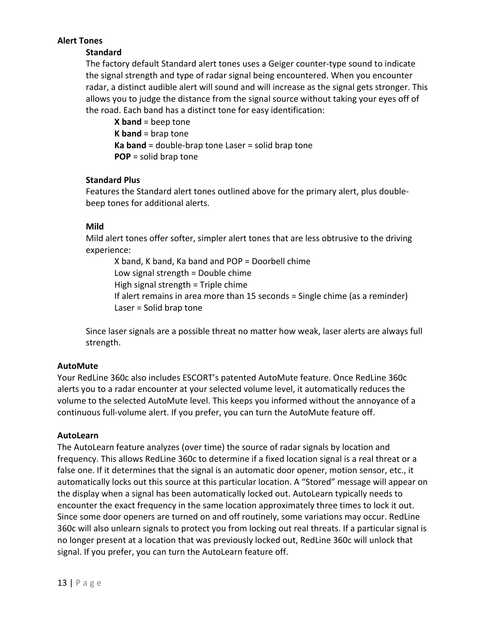#### **Alert Tones**

#### **Standard**

The factory default Standard alert tones uses a Geiger counter-type sound to indicate the signal strength and type of radar signal being encountered. When you encounter radar, a distinct audible alert will sound and will increase as the signal gets stronger. This allows you to judge the distance from the signal source without taking your eyes off of the road. Each band has a distinct tone for easy identification:

**X band** = beep tone **K band** = brap tone **Ka band** = double-brap tone Laser = solid brap tone **POP** = solid brap tone

#### **Standard Plus**

Features the Standard alert tones outlined above for the primary alert, plus doublebeep tones for additional alerts.

#### **Mild**

Mild alert tones offer softer, simpler alert tones that are less obtrusive to the driving experience:

X band, K band, Ka band and POP = Doorbell chime Low signal strength = Double chime High signal strength = Triple chime If alert remains in area more than 15 seconds = Single chime (as a reminder) Laser = Solid brap tone

Since laser signals are a possible threat no matter how weak, laser alerts are always full strength.

#### **AutoMute**

Your RedLine 360c also includes ESCORT's patented AutoMute feature. Once RedLine 360c alerts you to a radar encounter at your selected volume level, it automatically reduces the volume to the selected AutoMute level. This keeps you informed without the annoyance of a continuous full-volume alert. If you prefer, you can turn the AutoMute feature off.

#### **AutoLearn**

The AutoLearn feature analyzes (over time) the source of radar signals by location and frequency. This allows RedLine 360c to determine if a fixed location signal is a real threat or a false one. If it determines that the signal is an automatic door opener, motion sensor, etc., it automatically locks out this source at this particular location. A "Stored" message will appear on the display when a signal has been automatically locked out. AutoLearn typically needs to encounter the exact frequency in the same location approximately three times to lock it out. Since some door openers are turned on and off routinely, some variations may occur. RedLine 360c will also unlearn signals to protect you from locking out real threats. If a particular signal is no longer present at a location that was previously locked out, RedLine 360c will unlock that signal. If you prefer, you can turn the AutoLearn feature off.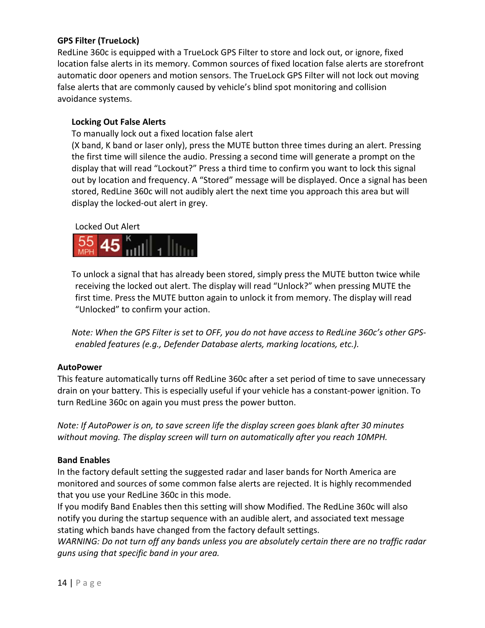#### **GPS Filter (TrueLock)**

RedLine 360c is equipped with a TrueLock GPS Filter to store and lock out, or ignore, fixed location false alerts in its memory. Common sources of fixed location false alerts are storefront automatic door openers and motion sensors. The TrueLock GPS Filter will not lock out moving false alerts that are commonly caused by vehicle's blind spot monitoring and collision avoidance systems.

#### **Locking Out False Alerts**

To manually lock out a fixed location false alert

(X band, K band or laser only), press the MUTE button three times during an alert. Pressing the first time will silence the audio. Pressing a second time will generate a prompt on the display that will read "Lockout?" Press a third time to confirm you want to lock this signal out by location and frequency. A "Stored" message will be displayed. Once a signal has been stored, RedLine 360c will not audibly alert the next time you approach this area but will display the locked-out alert in grey.

#### Locked Out Alert



To unlock a signal that has already been stored, simply press the MUTE button twice while receiving the locked out alert. The display will read "Unlock?" when pressing MUTE the first time. Press the MUTE button again to unlock it from memory. The display will read "Unlocked" to confirm your action.

*Note: When the GPS Filter is set to OFF, you do not have access to RedLine 360c's other GPSenabled features (e.g., Defender Database alerts, marking locations, etc.).*

#### **AutoPower**

This feature automatically turns off RedLine 360c after a set period of time to save unnecessary drain on your battery. This is especially useful if your vehicle has a constant-power ignition. To turn RedLine 360c on again you must press the power button.

*Note: If AutoPower is on, to save screen life the display screen goes blank after 30 minutes without moving. The display screen will turn on automatically after you reach 10MPH.*

#### **Band Enables**

In the factory default setting the suggested radar and laser bands for North America are monitored and sources of some common false alerts are rejected. It is highly recommended that you use your RedLine 360c in this mode.

If you modify Band Enables then this setting will show Modified. The RedLine 360c will also notify you during the startup sequence with an audible alert, and associated text message stating which bands have changed from the factory default settings.

*WARNING: Do not turn off any bands unless you are absolutely certain there are no traffic radar guns using that specific band in your area.*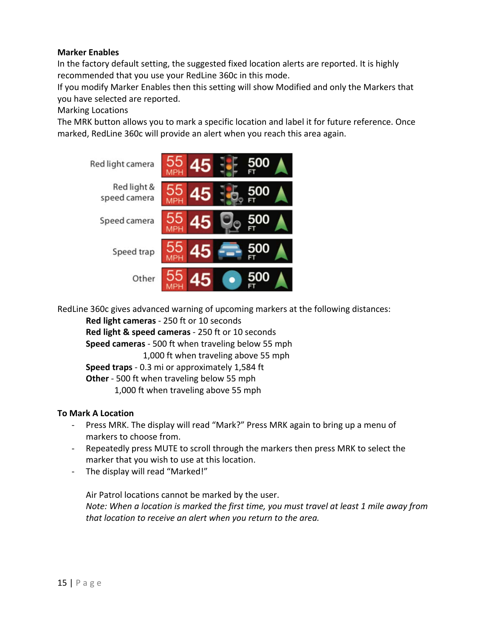#### **Marker Enables**

In the factory default setting, the suggested fixed location alerts are reported. It is highly recommended that you use your RedLine 360c in this mode.

If you modify Marker Enables then this setting will show Modified and only the Markers that you have selected are reported.

#### Marking Locations

The MRK button allows you to mark a specific location and label it for future reference. Once marked, RedLine 360c will provide an alert when you reach this area again.



RedLine 360c gives advanced warning of upcoming markers at the following distances:

**Red light cameras** - 250 ft or 10 seconds

**Red light & speed cameras** - 250 ft or 10 seconds

**Speed cameras** - 500 ft when traveling below 55 mph

1,000 ft when traveling above 55 mph

**Speed traps** - 0.3 mi or approximately 1,584 ft

**Other** - 500 ft when traveling below 55 mph

1,000 ft when traveling above 55 mph

#### **To Mark A Location**

- Press MRK. The display will read "Mark?" Press MRK again to bring up a menu of markers to choose from.
- Repeatedly press MUTE to scroll through the markers then press MRK to select the marker that you wish to use at this location.
- The display will read "Marked!"

Air Patrol locations cannot be marked by the user. *Note: When a location is marked the first time, you must travel at least 1 mile away from that location to receive an alert when you return to the area.*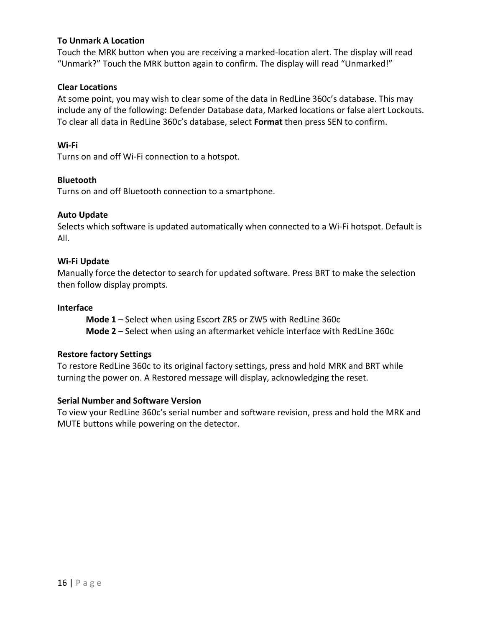#### **To Unmark A Location**

Touch the MRK button when you are receiving a marked-location alert. The display will read "Unmark?" Touch the MRK button again to confirm. The display will read "Unmarked!"

#### **Clear Locations**

At some point, you may wish to clear some of the data in RedLine 360c's database. This may include any of the following: Defender Database data, Marked locations or false alert Lockouts. To clear all data in RedLine 360c's database, select **Format** then press SEN to confirm.

#### **Wi-Fi**

Turns on and off Wi-Fi connection to a hotspot.

#### **Bluetooth**

Turns on and off Bluetooth connection to a smartphone.

#### **Auto Update**

Selects which software is updated automatically when connected to a Wi-Fi hotspot. Default is All.

#### **Wi-Fi Update**

Manually force the detector to search for updated software. Press BRT to make the selection then follow display prompts.

#### **Interface**

**Mode 1** – Select when using Escort ZR5 or ZW5 with RedLine 360c **Mode 2** – Select when using an aftermarket vehicle interface with RedLine 360c

#### **Restore factory Settings**

To restore RedLine 360c to its original factory settings, press and hold MRK and BRT while turning the power on. A Restored message will display, acknowledging the reset.

#### **Serial Number and Software Version**

To view your RedLine 360c's serial number and software revision, press and hold the MRK and MUTE buttons while powering on the detector.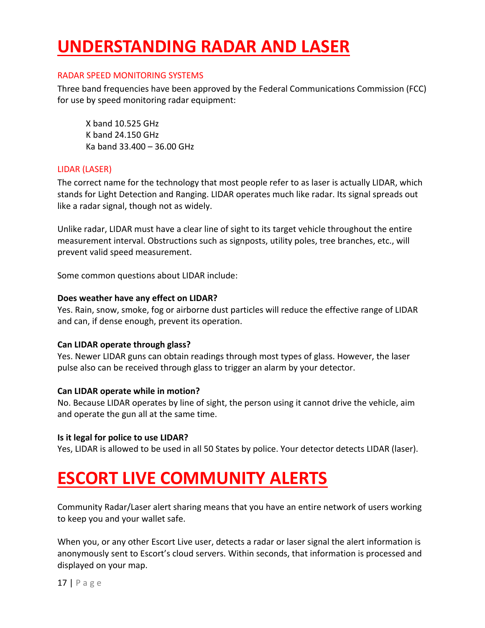# **UNDERSTANDING RADAR AND LASER**

#### RADAR SPEED MONITORING SYSTEMS

Three band frequencies have been approved by the Federal Communications Commission (FCC) for use by speed monitoring radar equipment:

X band 10.525 GHz K band 24.150 GHz Ka band 33.400 – 36.00 GHz

#### LIDAR (LASER)

The correct name for the technology that most people refer to as laser is actually LIDAR, which stands for Light Detection and Ranging. LIDAR operates much like radar. Its signal spreads out like a radar signal, though not as widely.

Unlike radar, LIDAR must have a clear line of sight to its target vehicle throughout the entire measurement interval. Obstructions such as signposts, utility poles, tree branches, etc., will prevent valid speed measurement.

Some common questions about LIDAR include:

#### **Does weather have any effect on LIDAR?**

Yes. Rain, snow, smoke, fog or airborne dust particles will reduce the effective range of LIDAR and can, if dense enough, prevent its operation.

#### **Can LIDAR operate through glass?**

Yes. Newer LIDAR guns can obtain readings through most types of glass. However, the laser pulse also can be received through glass to trigger an alarm by your detector.

#### **Can LIDAR operate while in motion?**

No. Because LIDAR operates by line of sight, the person using it cannot drive the vehicle, aim and operate the gun all at the same time.

#### **Is it legal for police to use LIDAR?**

Yes, LIDAR is allowed to be used in all 50 States by police. Your detector detects LIDAR (laser).

### **ESCORT LIVE COMMUNITY ALERTS**

Community Radar/Laser alert sharing means that you have an entire network of users working to keep you and your wallet safe.

When you, or any other Escort Live user, detects a radar or laser signal the alert information is anonymously sent to Escort's cloud servers. Within seconds, that information is processed and displayed on your map.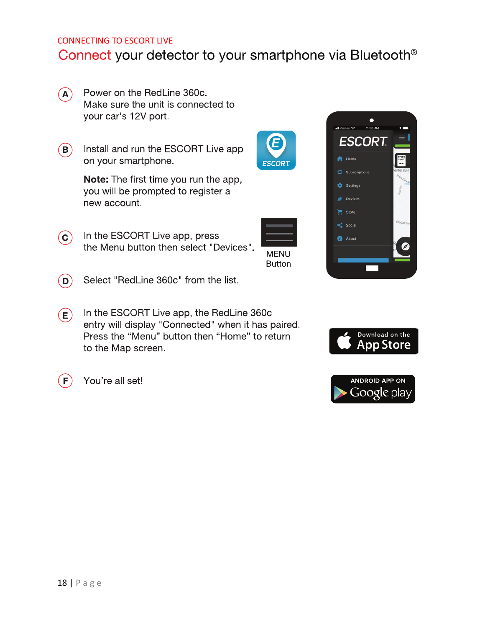### CONNECTING TO ESCORT LIVE Connect your detector to your smartphone via Bluetooth®

- $\left( {\bf A}\right)$ Power on the RedLine 360c. Make sure the unit is connected to your car's 12V port.
- Install and run the ESCORT Live app  $(B)$ on your smartphone.

**Note:** The first time you run the app, you will be prompted to register a new account.

- In the ESCORT Live app, press  $(\mathsf{c})$ the Menu button then select "Devices".
- **MENU Button**
- Select "RedLine 360c" from the list.  $(\mathsf{D})$
- In the ESCORT Live app, the RedLine 360c  $(\mathbf{E})$ entry will display "Connected" when it has paired. Press the "Menu" button then "Home" to return to the Map screen.









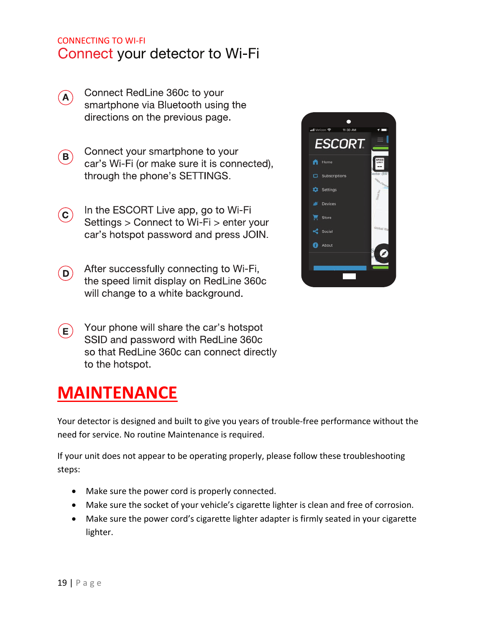### CONNECTING TO WI-FI Connect your detector to Wi-Fi

- Connect RedLine 360c to your  $(A)$ smartphone via Bluetooth using the directions on the previous page.
- Connect your smartphone to your  $(B)$ car's Wi-Fi (or make sure it is connected), through the phone's SETTINGS.
- In the ESCORT Live app, go to Wi-Fi  $(c)$ Settings > Connect to Wi-Fi > enter your car's hotspot password and press JOIN.
- After successfully connecting to Wi-Fi,  $(D)$ the speed limit display on RedLine 360c will change to a white background.



Your phone will share the car's hotspot  $(\mathsf{E})$ SSID and password with RedLine 360c so that RedLine 360c can connect directly to the hotspot.

### **MAINTENANCE**

Your detector is designed and built to give you years of trouble-free performance without the need for service. No routine Maintenance is required.

If your unit does not appear to be operating properly, please follow these troubleshooting steps:

- Make sure the power cord is properly connected.
- Make sure the socket of your vehicle's cigarette lighter is clean and free of corrosion.
- Make sure the power cord's cigarette lighter adapter is firmly seated in your cigarette lighter.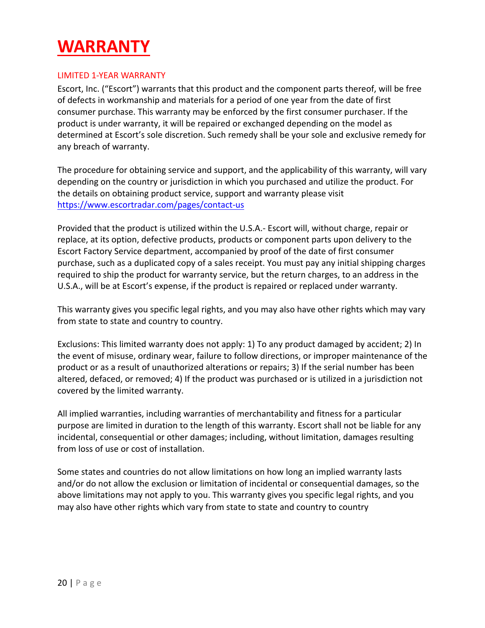### **WARRANTY**

### LIMITED 1-YEAR WARRANTY

Escort, Inc. ("Escort") warrants that this product and the component parts thereof, will be free of defects in workmanship and materials for a period of one year from the date of first consumer purchase. This warranty may be enforced by the first consumer purchaser. If the product is under warranty, it will be repaired or exchanged depending on the model as determined at Escort's sole discretion. Such remedy shall be your sole and exclusive remedy for any breach of warranty.

The procedure for obtaining service and support, and the applicability of this warranty, will vary depending on the country or jurisdiction in which you purchased and utilize the product. For the details on obtaining product service, support and warranty please visit https://www.escortradar.com/pages/contact-us

Provided that the product is utilized within the U.S.A.- Escort will, without charge, repair or replace, at its option, defective products, products or component parts upon delivery to the Escort Factory Service department, accompanied by proof of the date of first consumer purchase, such as a duplicated copy of a sales receipt. You must pay any initial shipping charges required to ship the product for warranty service, but the return charges, to an address in the U.S.A., will be at Escort's expense, if the product is repaired or replaced under warranty.

This warranty gives you specific legal rights, and you may also have other rights which may vary from state to state and country to country.

Exclusions: This limited warranty does not apply: 1) To any product damaged by accident; 2) In the event of misuse, ordinary wear, failure to follow directions, or improper maintenance of the product or as a result of unauthorized alterations or repairs; 3) If the serial number has been altered, defaced, or removed; 4) If the product was purchased or is utilized in a jurisdiction not covered by the limited warranty.

All implied warranties, including warranties of merchantability and fitness for a particular purpose are limited in duration to the length of this warranty. Escort shall not be liable for any incidental, consequential or other damages; including, without limitation, damages resulting from loss of use or cost of installation.

Some states and countries do not allow limitations on how long an implied warranty lasts and/or do not allow the exclusion or limitation of incidental or consequential damages, so the above limitations may not apply to you. This warranty gives you specific legal rights, and you may also have other rights which vary from state to state and country to country